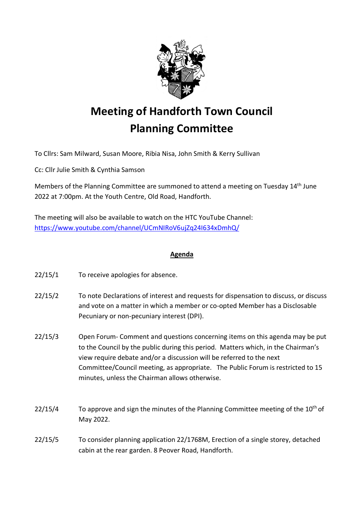

## **Meeting of Handforth Town Council Planning Committee**

To Cllrs: Sam Milward, Susan Moore, Ribia Nisa, John Smith & Kerry Sullivan

Cc: Cllr Julie Smith & Cynthia Samson

Members of the Planning Committee are summoned to attend a meeting on Tuesday 14<sup>th</sup> June 2022 at 7:00pm. At the Youth Centre, Old Road, Handforth.

The meeting will also be available to watch on the HTC YouTube Channel: <https://www.youtube.com/channel/UCmNIRoV6ujZq24I634xDmhQ/>

## **Agenda**

22/15/1 To receive apologies for absence.

- 22/15/2 To note Declarations of interest and requests for dispensation to discuss, or discuss and vote on a matter in which a member or co-opted Member has a Disclosable Pecuniary or non-pecuniary interest (DPI).
- 22/15/3 Open Forum- Comment and questions concerning items on this agenda may be put to the Council by the public during this period. Matters which, in the Chairman's view require debate and/or a discussion will be referred to the next Committee/Council meeting, as appropriate. The Public Forum is restricted to 15 minutes, unless the Chairman allows otherwise.
- $22/15/4$  To approve and sign the minutes of the Planning Committee meeting of the 10<sup>th</sup> of May 2022.
- 22/15/5 To consider planning application 22/1768M, Erection of a single storey, detached cabin at the rear garden. 8 Peover Road, Handforth.